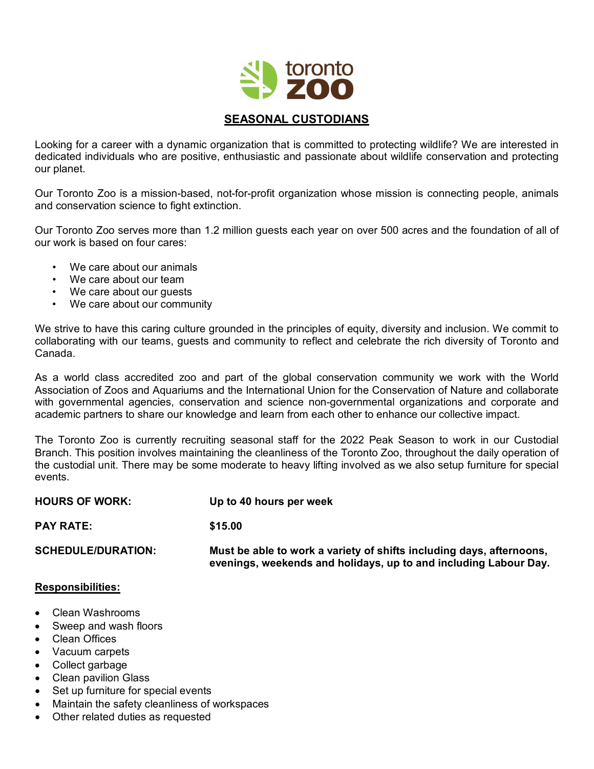

## **SEASONAL CUSTODIANS**

Looking for a career with a dynamic organization that is committed to protecting wildlife? We are interested in dedicated individuals who are positive, enthusiastic and passionate about wildlife conservation and protecting our planet.

Our Toronto Zoo is a mission-based, not-for-profit organization whose mission is connecting people, animals and conservation science to fight extinction.

Our Toronto Zoo serves more than 1.2 million guests each year on over 500 acres and the foundation of all of our work is based on four cares:

- We care about our animals
- We care about our team
- We care about our guests
- We care about our community

We strive to have this caring culture grounded in the principles of equity, diversity and inclusion. We commit to collaborating with our teams, guests and community to reflect and celebrate the rich diversity of Toronto and Canada.

As a world class accredited zoo and part of the global conservation community we work with the World Association of Zoos and Aquariums and the International Union for the Conservation of Nature and collaborate with governmental agencies, conservation and science non-governmental organizations and corporate and academic partners to share our knowledge and learn from each other to enhance our collective impact.

The Toronto Zoo is currently recruiting seasonal staff for the 2022 Peak Season to work in our Custodial Branch. This position involves maintaining the cleanliness of the Toronto Zoo, throughout the daily operation of the custodial unit. There may be some moderate to heavy lifting involved as we also setup furniture for special events.

| <b>HOURS OF WORK:</b><br><b>PAY RATE:</b> | Up to 40 hours per week<br>\$15.00 |
|-------------------------------------------|------------------------------------|
|                                           |                                    |

## **Responsibilities:**

- Clean Washrooms
- Sweep and wash floors
- Clean Offices
- Vacuum carpets
- Collect garbage
- Clean pavilion Glass
- Set up furniture for special events
- Maintain the safety cleanliness of workspaces
- Other related duties as requested